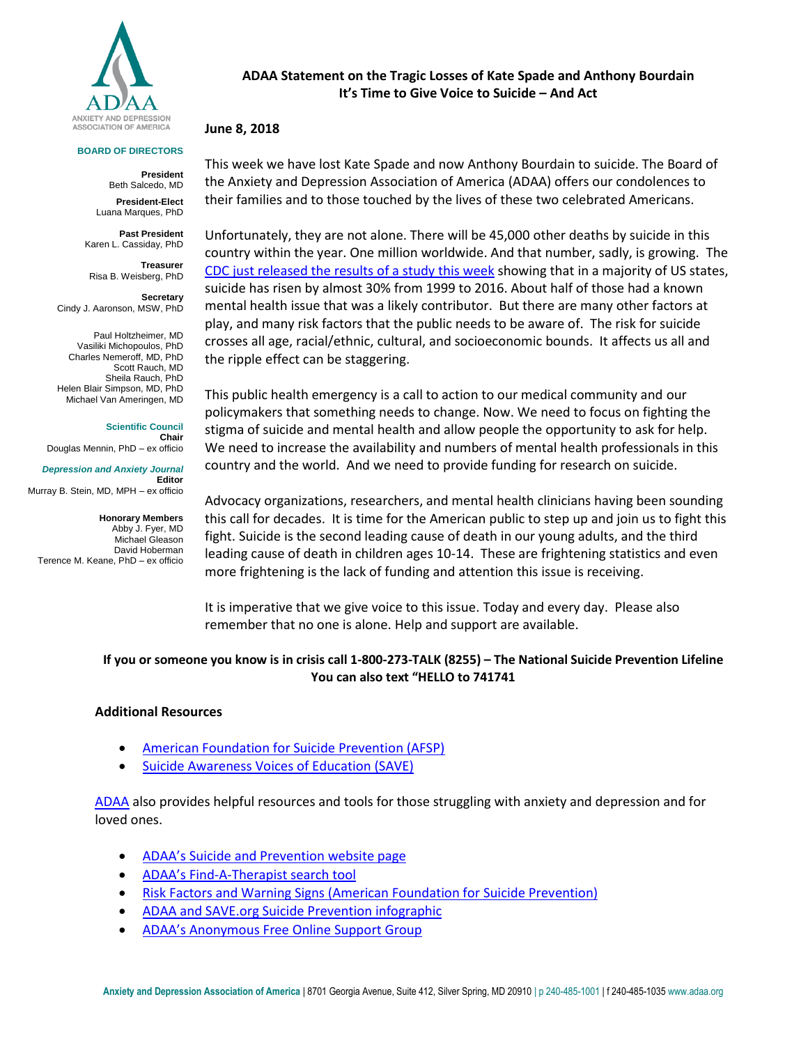

#### **BOARD OF DIRECTORS**

**President** Beth Salcedo, MD **President-Elect**

Luana Marques, PhD

**Past President** Karen L. Cassiday, PhD

**Treasurer** Risa B. Weisberg, PhD

**Secretary**  Cindy J. Aaronson, MSW, PhD

Paul Holtzheimer, MD Vasiliki Michopoulos, PhD Charles Nemeroff, MD, PhD Scott Rauch, MD Sheila Rauch, PhD Helen Blair Simpson, MD, PhD Michael Van Ameringen, MD

**Scientific Council**

**Chair** Douglas Mennin, PhD – ex officio

*Depression and Anxiety Journal* **Editor** Murray B. Stein, MD, MPH – ex officio

**Honorary Members** Abby J. Fyer, MD Michael Gleason David Hoberman Terence M. Keane, PhD – ex officio

## **ADAA Statement on the Tragic Losses of Kate Spade and Anthony Bourdain It's Time to Give Voice to Suicide – And Act**

### **June 8, 2018**

This week we have lost Kate Spade and now Anthony Bourdain to suicide. The Board of the Anxiety and Depression Association of America (ADAA) offers our condolences to their families and to those touched by the lives of these two celebrated Americans.

Unfortunately, they are not alone. There will be 45,000 other deaths by suicide in this country within the year. One million worldwide. And that number, sadly, is growing.The [CDC just released the results of a study this week](https://www.cdc.gov/mmwr/volumes/67/wr/mm6722a1.htm?s_cid=mm6722a1_w) showing that in a majority of US states, suicide has risen by almost 30% from 1999 to 2016. About half of those had a known mental health issue that was a likely contributor. But there are many other factors at play, and many risk factors that the public needs to be aware of. The risk for suicide crosses all age, racial/ethnic, cultural, and socioeconomic bounds. It affects us all and the ripple effect can be staggering.

This public health emergency is a call to action to our medical community and our policymakers that something needs to change. Now. We need to focus on fighting the stigma of suicide and mental health and allow people the opportunity to ask for help. We need to increase the availability and numbers of mental health professionals in this country and the world. And we need to provide funding for research on suicide.

Advocacy organizations, researchers, and mental health clinicians having been sounding this call for decades. It is time for the American public to step up and join us to fight this fight. Suicide is the second leading cause of death in our young adults, and the third leading cause of death in children ages 10-14. These are frightening statistics and even more frightening is the lack of funding and attention this issue is receiving.

It is imperative that we give voice to this issue. Today and every day. Please also remember that no one is alone. Help and support are available.

# **If you or someone you know is in crisis call 1-800-273-TALK (8255) – The National Suicide Prevention Lifeline You can also text "HELLO to 741741**

#### **Additional Resources**

- [American Foundation for Suicide Prevention \(AFSP\)](https://afsp.org/)
- [Suicide Awareness Voices of Education](https://save.org/) (SAVE)

[ADAA](http://www.adaa.org/) also provides helpful resources and tools for those struggling with anxiety and depression and for loved ones.

- [ADAA's Suicide and Prevention website page](https://adaa.org/understanding-anxiety/suicide)
- ADAA's Find[-A-Therapist search tool](https://anxietydepressionassoc.site-ym.com/page/FATMain?)
- [Risk Factors and Warning Signs \(American Foundation for Suicide Prevention\)](https://afsp.org/about-suicide/risk-factors-and-warning-signs/)
- [ADAA and SAVE.org Suicide Prevention infographic](https://adaa.org/sites/default/files/ADAA%20and%20SAVE%20Infographic.pdf)
- [ADAA's Anonymous Free](https://healthunlocked.com/anxiety-depression-support/about) Online Support Group